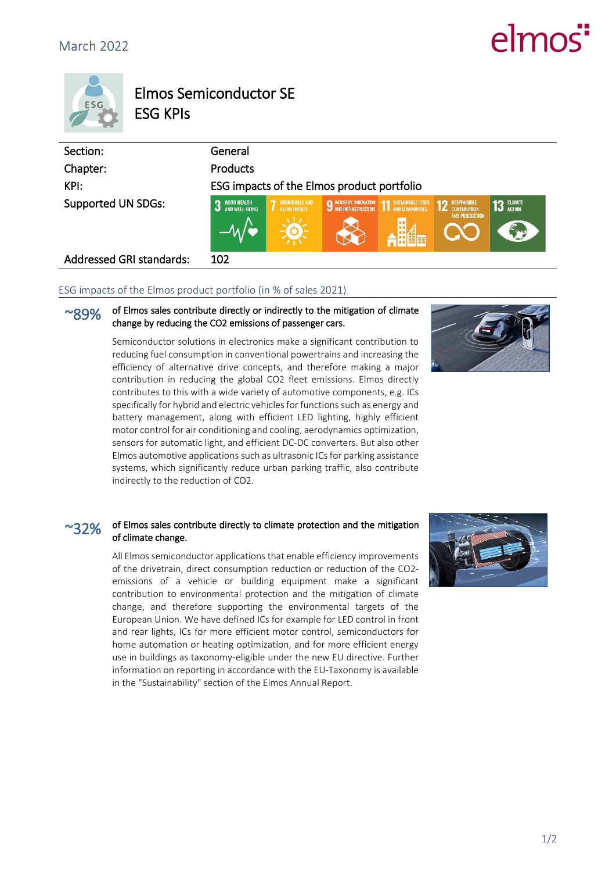# $\epsilon$ mo



## Elmos Semiconductor SE ESG KPIs

| Section:                        | General                                    |                                              |                               |                                                        |                                                |              |
|---------------------------------|--------------------------------------------|----------------------------------------------|-------------------------------|--------------------------------------------------------|------------------------------------------------|--------------|
| Chapter:                        | <b>Products</b>                            |                                              |                               |                                                        |                                                |              |
| KPI:                            | ESG impacts of the Elmos product portfolio |                                              |                               |                                                        |                                                |              |
| <b>Supported UN SDGs:</b>       | <b>GOOD HEALTH</b><br>n<br>AND WELL-BEING  | <b>AFFORDABLE AND</b><br><b>CLEAN ENERGY</b> | <b>9 INDUSTRY, INNOVATION</b> | <b>11 SUSTAINABLE CITIES</b><br><b>AND COMMUNITIES</b> | <b>12 RESPONSIBLE</b><br><b>AND PRODUCTION</b> | $13$ CLIMATE |
| <b>Addressed GRI standards:</b> | 102                                        |                                              |                               |                                                        |                                                |              |

#### ESG impacts of the Elmos product portfolio (in % of sales 2021)

#### $\sim$ gqo $\alpha$  of Elmos sales contribute directly or indirectly to the mitigation of climate change by reducing the CO2 emissions of passenger cars.

Semiconductor solutions in electronics make a significant contribution to reducing fuel consumption in conventional powertrains and increasing the efficiency of alternative drive concepts, and therefore making a major contribution in reducing the global CO2 fleet emissions. Elmos directly contributes to this with a wide variety of automotive components, e.g. ICs specifically for hybrid and electric vehicles for functions such as energy and battery management, along with efficient LED lighting, highly efficient motor control for air conditioning and cooling, aerodynamics optimization, sensors for automatic light, and efficient DC-DC converters. But also other Elmos automotive applications such as ultrasonic ICs for parking assistance systems, which significantly reduce urban parking traffic, also contribute indirectly to the reduction of CO2.



#### $\sim$ 32% of Elmos sales contribute directly to climate protection and the mitigation of climate change.

All Elmos semiconductor applications that enable efficiency improvements of the drivetrain, direct consumption reduction or reduction of the CO2 emissions of a vehicle or building equipment make a significant contribution to environmental protection and the mitigation of climate change, and therefore supporting the environmental targets of the European Union. We have defined ICs for example for LED control in front and rear lights, ICs for more efficient motor control, semiconductors for home automation or heating optimization, and for more efficient energy use in buildings as taxonomy-eligible under the new EU directive. Further information on reporting in accordance with the EU-Taxonomy is available in the "Sustainability" section of the Elmos Annual Report.